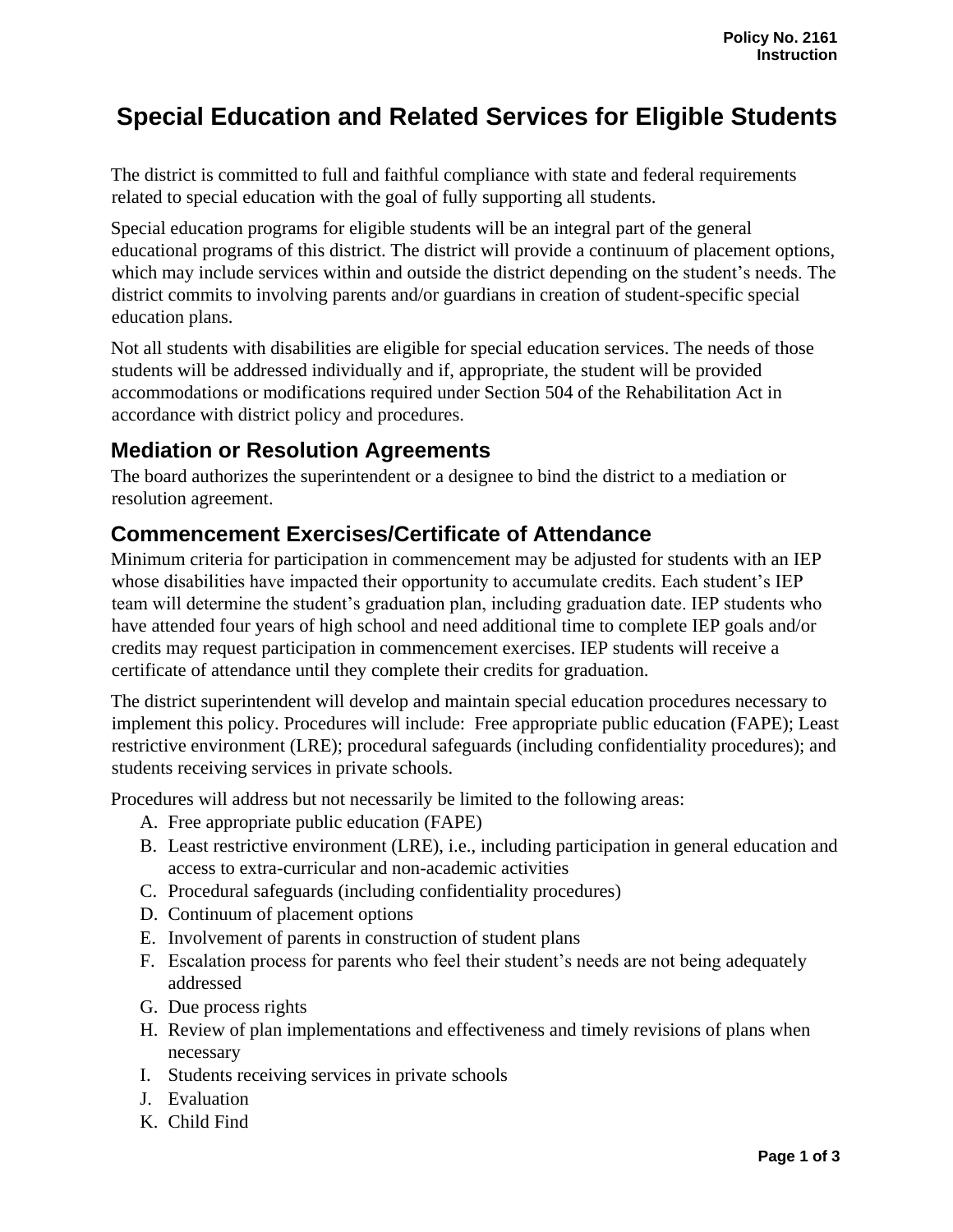## **Special Education and Related Services for Eligible Students**

The district is committed to full and faithful compliance with state and federal requirements related to special education with the goal of fully supporting all students.

Special education programs for eligible students will be an integral part of the general educational programs of this district. The district will provide a continuum of placement options, which may include services within and outside the district depending on the student's needs. The district commits to involving parents and/or guardians in creation of student-specific special education plans.

Not all students with disabilities are eligible for special education services. The needs of those students will be addressed individually and if, appropriate, the student will be provided accommodations or modifications required under Section 504 of the Rehabilitation Act in accordance with district policy and procedures.

## **Mediation or Resolution Agreements**

The board authorizes the superintendent or a designee to bind the district to a mediation or resolution agreement.

## **Commencement Exercises/Certificate of Attendance**

Minimum criteria for participation in commencement may be adjusted for students with an IEP whose disabilities have impacted their opportunity to accumulate credits. Each student's IEP team will determine the student's graduation plan, including graduation date. IEP students who have attended four years of high school and need additional time to complete IEP goals and/or credits may request participation in commencement exercises. IEP students will receive a certificate of attendance until they complete their credits for graduation.

The district superintendent will develop and maintain special education procedures necessary to implement this policy. Procedures will include: Free appropriate public education (FAPE); Least restrictive environment (LRE); procedural safeguards (including confidentiality procedures); and students receiving services in private schools.

Procedures will address but not necessarily be limited to the following areas:

- A. Free appropriate public education (FAPE)
- B. Least restrictive environment (LRE), i.e., including participation in general education and access to extra-curricular and non-academic activities
- C. Procedural safeguards (including confidentiality procedures)
- D. Continuum of placement options
- E. Involvement of parents in construction of student plans
- F. Escalation process for parents who feel their student's needs are not being adequately addressed
- G. Due process rights
- H. Review of plan implementations and effectiveness and timely revisions of plans when necessary
- I. Students receiving services in private schools
- J. Evaluation
- K. Child Find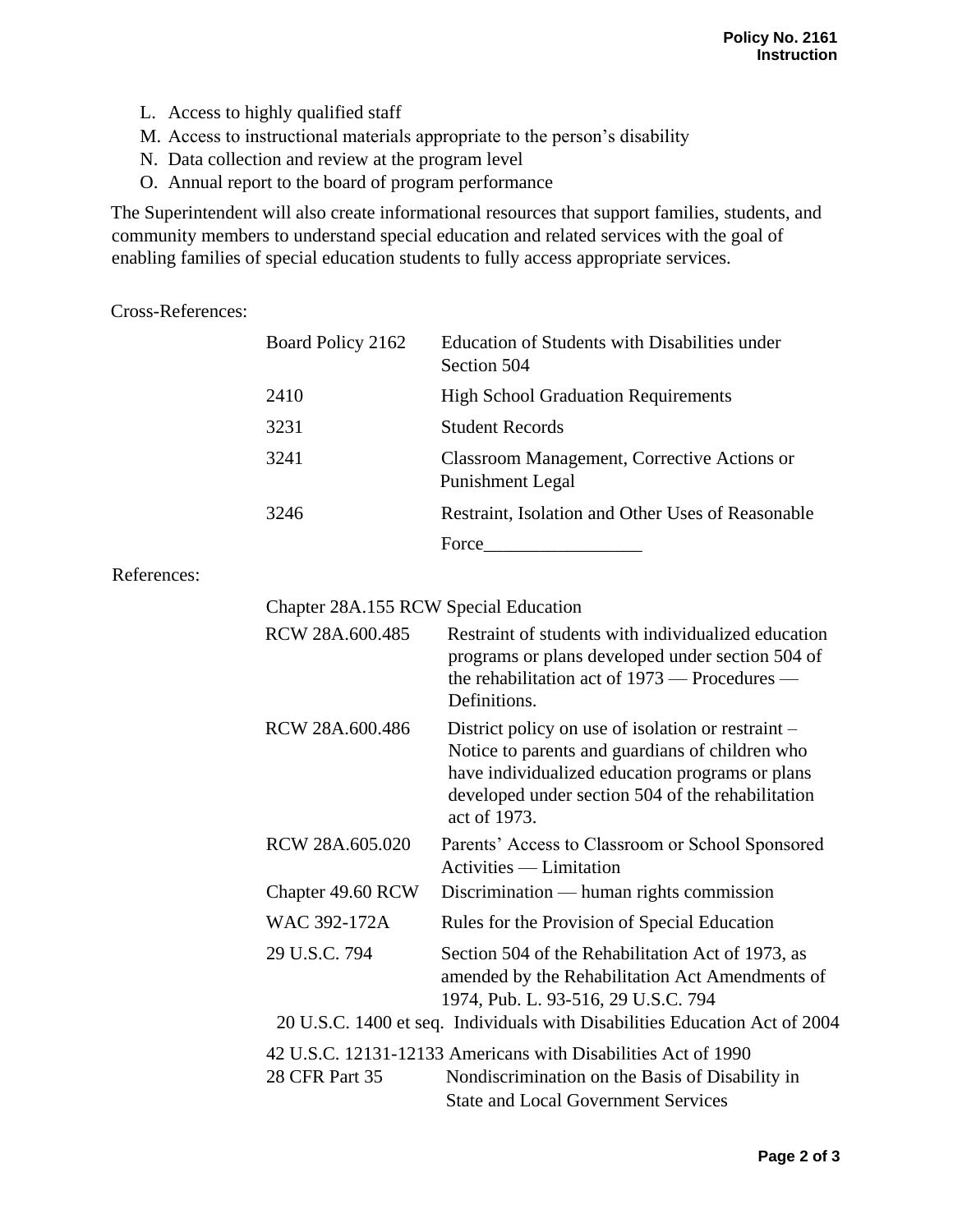- L. Access to highly qualified staff
- M. Access to instructional materials appropriate to the person's disability
- N. Data collection and review at the program level
- O. Annual report to the board of program performance

The Superintendent will also create informational resources that support families, students, and community members to understand special education and related services with the goal of enabling families of special education students to fully access appropriate services.

Cross-References:

| Board Policy 2162 | Education of Students with Disabilities under<br>Section 504    |  |
|-------------------|-----------------------------------------------------------------|--|
| 2410              | <b>High School Graduation Requirements</b>                      |  |
| 3231              | <b>Student Records</b>                                          |  |
| 3241              | Classroom Management, Corrective Actions or<br>Punishment Legal |  |
| 3246              | Restraint, Isolation and Other Uses of Reasonable               |  |
|                   | Force                                                           |  |

## References:

| Chapter 28A.155 RCW Special Education                                                                                                                                            |                                                                                                                                                                                                                               |  |  |
|----------------------------------------------------------------------------------------------------------------------------------------------------------------------------------|-------------------------------------------------------------------------------------------------------------------------------------------------------------------------------------------------------------------------------|--|--|
| RCW 28A.600.485                                                                                                                                                                  | Restraint of students with individualized education<br>programs or plans developed under section 504 of<br>the rehabilitation act of $1973$ — Procedures —<br>Definitions.                                                    |  |  |
| RCW 28A.600.486                                                                                                                                                                  | District policy on use of isolation or restraint -<br>Notice to parents and guardians of children who<br>have individualized education programs or plans<br>developed under section 504 of the rehabilitation<br>act of 1973. |  |  |
| RCW 28A.605.020                                                                                                                                                                  | Parents' Access to Classroom or School Sponsored<br>Activities — Limitation                                                                                                                                                   |  |  |
| Chapter 49.60 RCW                                                                                                                                                                | $Discription$ — human rights commission                                                                                                                                                                                       |  |  |
| WAC 392-172A                                                                                                                                                                     | Rules for the Provision of Special Education                                                                                                                                                                                  |  |  |
| 29 U.S.C. 794                                                                                                                                                                    | Section 504 of the Rehabilitation Act of 1973, as<br>amended by the Rehabilitation Act Amendments of<br>1974, Pub. L. 93-516, 29 U.S.C. 794                                                                                   |  |  |
| 20 U.S.C. 1400 et seq. Individuals with Disabilities Education Act of 2004                                                                                                       |                                                                                                                                                                                                                               |  |  |
| 42 U.S.C. 12131-12133 Americans with Disabilities Act of 1990<br>28 CFR Part 35<br>Nondiscrimination on the Basis of Disability in<br><b>State and Local Government Services</b> |                                                                                                                                                                                                                               |  |  |